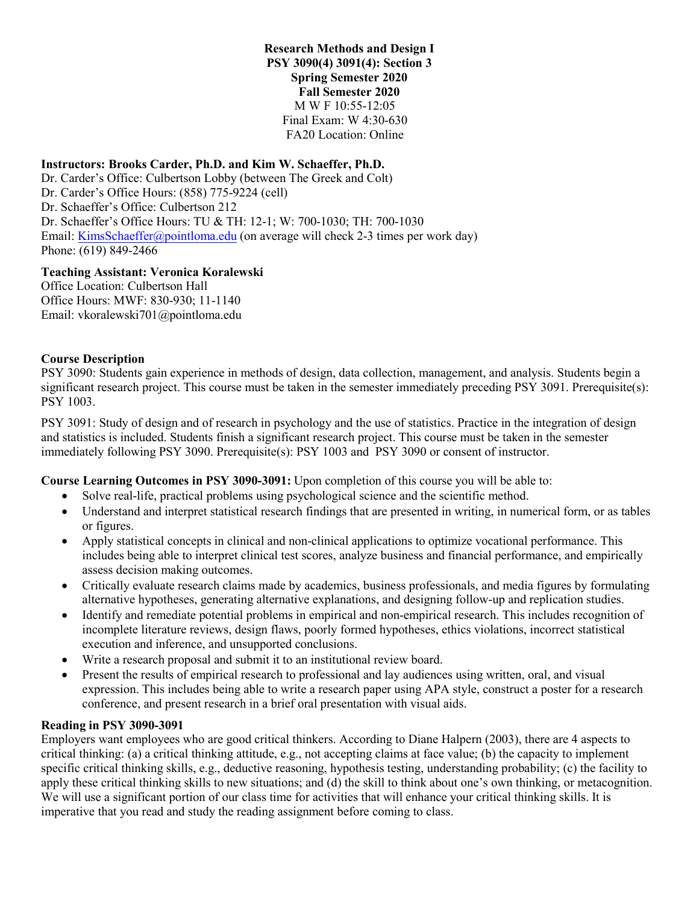#### **Research Methods and Design I PSY 3090(4) 3091(4): Section 3 Spring Semester 2020 Fall Semester 2020** M W F 10:55-12:05 Final Exam: W 4:30-630 FA20 Location: Online

#### **Instructors: Brooks Carder, Ph.D. and Kim W. Schaeffer, Ph.D.**

Dr. Carder's Office: Culbertson Lobby (between The Greek and Colt) Dr. Carder's Office Hours: (858) 775-9224 (cell) Dr. Schaeffer's Office: Culbertson 212 Dr. Schaeffer's Office Hours: TU & TH: 12-1; W: 700-1030; TH: 700-1030 Email[: KimsSchaeffer@pointloma.edu](mailto:KimsSchaeffer@pointloma.edu) (on average will check 2-3 times per work day) Phone: (619) 849-2466

#### **Teaching Assistant: Veronica Koralewski**

Office Location: Culbertson Hall Office Hours: MWF: 830-930; 11-1140 Email: vkoralewski701@pointloma.edu

#### **Course Description**

PSY 3090: Students gain experience in methods of design, data collection, management, and analysis. Students begin a significant research project. This course must be taken in the semester immediately preceding PSY 3091. Prerequisite(s): PSY 1003.

PSY 3091: Study of design and of research in psychology and the use of statistics. Practice in the integration of design and statistics is included. Students finish a significant research project. This course must be taken in the semester immediately following PSY 3090. Prerequisite(s): PSY 1003 and PSY 3090 or consent of instructor.

**Course Learning Outcomes in PSY 3090-3091:** Upon completion of this course you will be able to:

- Solve real-life, practical problems using psychological science and the scientific method.
- Understand and interpret statistical research findings that are presented in writing, in numerical form, or as tables or figures.
- Apply statistical concepts in clinical and non-clinical applications to optimize vocational performance. This includes being able to interpret clinical test scores, analyze business and financial performance, and empirically assess decision making outcomes.
- Critically evaluate research claims made by academics, business professionals, and media figures by formulating alternative hypotheses, generating alternative explanations, and designing follow-up and replication studies.
- Identify and remediate potential problems in empirical and non-empirical research. This includes recognition of incomplete literature reviews, design flaws, poorly formed hypotheses, ethics violations, incorrect statistical execution and inference, and unsupported conclusions.
- Write a research proposal and submit it to an institutional review board.
- Present the results of empirical research to professional and lay audiences using written, oral, and visual expression. This includes being able to write a research paper using APA style, construct a poster for a research conference, and present research in a brief oral presentation with visual aids.

#### **Reading in PSY 3090-3091**

Employers want employees who are good critical thinkers. According to Diane Halpern (2003), there are 4 aspects to critical thinking: (a) a critical thinking attitude, e.g., not accepting claims at face value; (b) the capacity to implement specific critical thinking skills, e.g., deductive reasoning, hypothesis testing, understanding probability; (c) the facility to apply these critical thinking skills to new situations; and (d) the skill to think about one's own thinking, or metacognition. We will use a significant portion of our class time for activities that will enhance your critical thinking skills. It is imperative that you read and study the reading assignment before coming to class.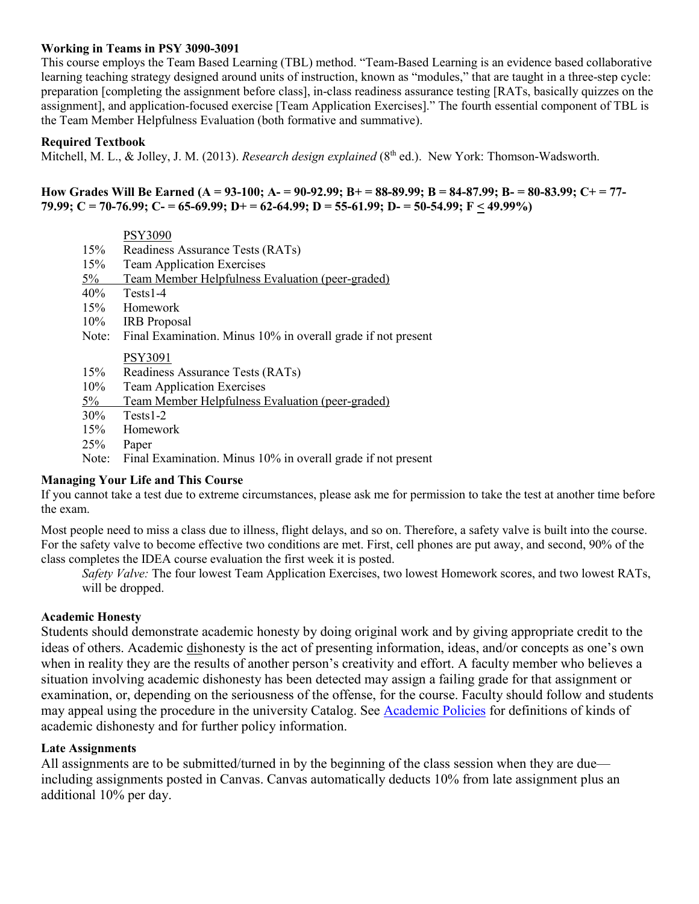#### **Working in Teams in PSY 3090-3091**

This course employs the Team Based Learning (TBL) method. "Team-Based Learning is an evidence based collaborative learning teaching strategy designed around units of instruction, known as "modules," that are taught in a three-step cycle: preparation [completing the assignment before class], in-class readiness assurance testing [RATs, basically quizzes on the assignment], and application-focused exercise [Team Application Exercises]." The fourth essential component of TBL is the Team Member Helpfulness Evaluation (both formative and summative).

#### **Required Textbook**

Mitchell, M. L., & Jolley, J. M. (2013). *Research design explained* (8<sup>th</sup> ed.). New York: Thomson-Wadsworth.

#### **How Grades Will Be Earned (A = 93-100; A- = 90-92.99; B+ = 88-89.99; B = 84-87.99; B- = 80-83.99; C+ = 77- 79.99; C = 70-76.99; C- = 65-69.99; D+ = 62-64.99; D = 55-61.99; D- = 50-54.99; F < 49.99%)**

|        | <b>PSY3090</b>                                               |  |  |  |
|--------|--------------------------------------------------------------|--|--|--|
| 15%    | Readiness Assurance Tests (RATs)                             |  |  |  |
| 15%    | <b>Team Application Exercises</b>                            |  |  |  |
| $5\%$  | Team Member Helpfulness Evaluation (peer-graded)             |  |  |  |
| 40%    | $Tests1-4$                                                   |  |  |  |
| 15%    | Homework                                                     |  |  |  |
| $10\%$ | <b>IRB</b> Proposal                                          |  |  |  |
| Note:  | Final Examination. Minus 10% in overall grade if not present |  |  |  |
|        | PSY3091                                                      |  |  |  |
| 15%    | Readiness Assurance Tests (RATs)                             |  |  |  |
|        |                                                              |  |  |  |
| 10%    | <b>Team Application Exercises</b>                            |  |  |  |
| $5\%$  | Team Member Helpfulness Evaluation (peer-graded)             |  |  |  |
| 30%    | $Tests1-2$                                                   |  |  |  |
| 15%    | Homework                                                     |  |  |  |
| 25%    | Paper                                                        |  |  |  |

Note: Final Examination. Minus 10% in overall grade if not present

#### **Managing Your Life and This Course**

If you cannot take a test due to extreme circumstances, please ask me for permission to take the test at another time before the exam.

Most people need to miss a class due to illness, flight delays, and so on. Therefore, a safety valve is built into the course. For the safety valve to become effective two conditions are met. First, cell phones are put away, and second, 90% of the class completes the IDEA course evaluation the first week it is posted.

*Safety Valve:* The four lowest Team Application Exercises, two lowest Homework scores, and two lowest RATs, will be dropped.

#### **Academic Honesty**

Students should demonstrate academic honesty by doing original work and by giving appropriate credit to the ideas of others. Academic dishonesty is the act of presenting information, ideas, and/or concepts as one's own when in reality they are the results of another person's creativity and effort. A faculty member who believes a situation involving academic dishonesty has been detected may assign a failing grade for that assignment or examination, or, depending on the seriousness of the offense, for the course. Faculty should follow and students may appeal using the procedure in the university Catalog. See [Academic Policies](http://catalog.pointloma.edu/content.php?catoid=18&navoid=1278) for definitions of kinds of academic dishonesty and for further policy information.

#### **Late Assignments**

All assignments are to be submitted/turned in by the beginning of the class session when they are due including assignments posted in Canvas. Canvas automatically deducts 10% from late assignment plus an additional 10% per day.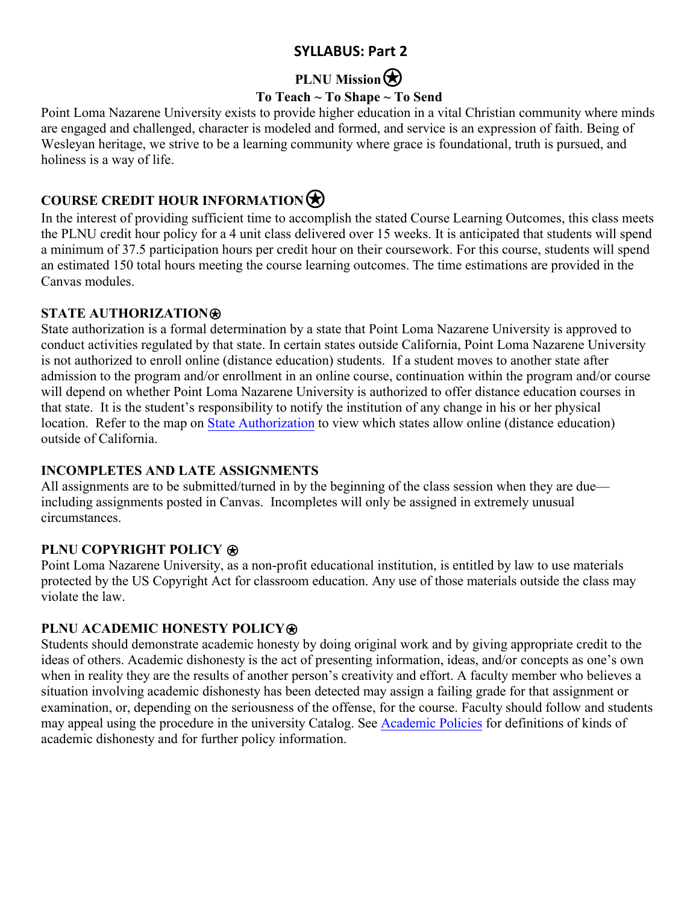# **SYLLABUS: Part 2**

# **PLNU Mission**

## **To Teach ~ To Shape ~ To Send**

Point Loma Nazarene University exists to provide higher education in a vital Christian community where minds are engaged and challenged, character is modeled and formed, and service is an expression of faith. Being of Wesleyan heritage, we strive to be a learning community where grace is foundational, truth is pursued, and holiness is a way of life.

# **COURSE CREDIT HOUR INFORMATION**⍟

In the interest of providing sufficient time to accomplish the stated Course Learning Outcomes, this class meets the PLNU credit hour policy for a 4 unit class delivered over 15 weeks. It is anticipated that students will spend a minimum of 37.5 participation hours per credit hour on their coursework. For this course, students will spend an estimated 150 total hours meeting the course learning outcomes. The time estimations are provided in the Canvas modules.

## **STATE AUTHORIZATION**⍟

State authorization is a formal determination by a state that Point Loma Nazarene University is approved to conduct activities regulated by that state. In certain states outside California, Point Loma Nazarene University is not authorized to enroll online (distance education) students. If a student moves to another state after admission to the program and/or enrollment in an online course, continuation within the program and/or course will depend on whether Point Loma Nazarene University is authorized to offer distance education courses in that state. It is the student's responsibility to notify the institution of any change in his or her physical location. Refer to the map on [State Authorization](https://www.pointloma.edu/offices/office-institutional-effectiveness-research/disclosures) to view which states allow online (distance education) outside of California.

## **INCOMPLETES AND LATE ASSIGNMENTS**

All assignments are to be submitted/turned in by the beginning of the class session when they are due including assignments posted in Canvas. Incompletes will only be assigned in extremely unusual circumstances.

## **PLNU COPYRIGHT POLICY**  $\otimes$

Point Loma Nazarene University, as a non-profit educational institution, is entitled by law to use materials protected by the US Copyright Act for classroom education. Any use of those materials outside the class may violate the law.

## **PLNU ACADEMIC HONESTY POLICY®**

Students should demonstrate academic honesty by doing original work and by giving appropriate credit to the ideas of others. Academic dishonesty is the act of presenting information, ideas, and/or concepts as one's own when in reality they are the results of another person's creativity and effort. A faculty member who believes a situation involving academic dishonesty has been detected may assign a failing grade for that assignment or examination, or, depending on the seriousness of the offense, for the course. Faculty should follow and students may appeal using the procedure in the university Catalog. See [Academic Policies](https://catalog.pointloma.edu/content.php?catoid=41&navoid=2435#Academic_Honesty) for definitions of kinds of academic dishonesty and for further policy information.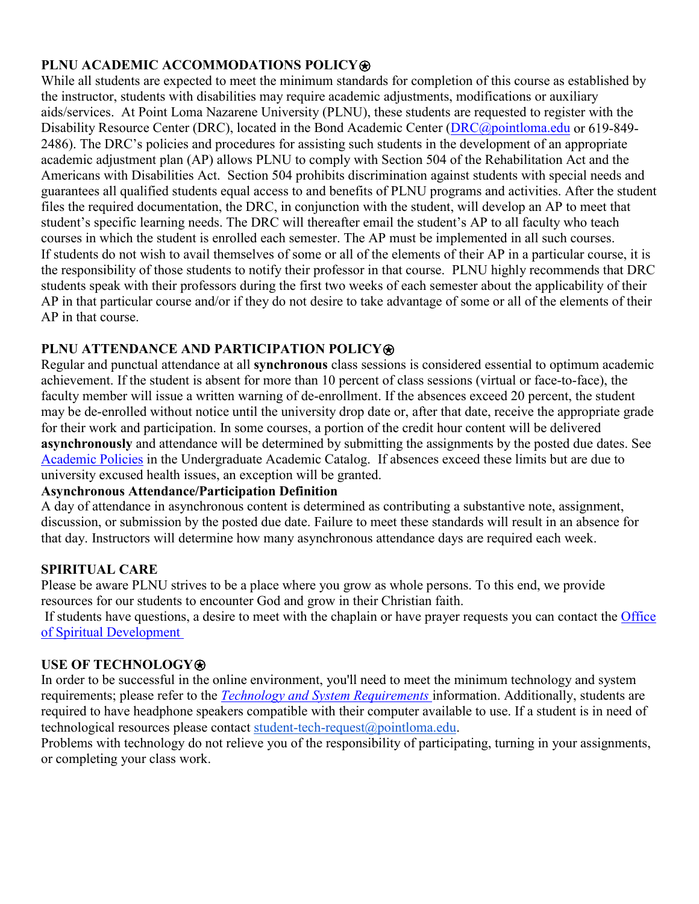## **PLNU ACADEMIC ACCOMMODATIONS POLICY**⍟

While all students are expected to meet the minimum standards for completion of this course as established by the instructor, students with disabilities may require academic adjustments, modifications or auxiliary aids/services. At Point Loma Nazarene University (PLNU), these students are requested to register with the Disability Resource Center (DRC), located in the Bond Academic Center [\(DRC@pointloma.edu](mailto:DRC@pointloma.edu) or 619-849-2486). The DRC's policies and procedures for assisting such students in the development of an appropriate academic adjustment plan (AP) allows PLNU to comply with Section 504 of the Rehabilitation Act and the Americans with Disabilities Act. Section 504 prohibits discrimination against students with special needs and guarantees all qualified students equal access to and benefits of PLNU programs and activities. After the student files the required documentation, the DRC, in conjunction with the student, will develop an AP to meet that student's specific learning needs. The DRC will thereafter email the student's AP to all faculty who teach courses in which the student is enrolled each semester. The AP must be implemented in all such courses. If students do not wish to avail themselves of some or all of the elements of their AP in a particular course, it is the responsibility of those students to notify their professor in that course. PLNU highly recommends that DRC students speak with their professors during the first two weeks of each semester about the applicability of their AP in that particular course and/or if they do not desire to take advantage of some or all of the elements of their AP in that course.

## **PLNU ATTENDANCE AND PARTICIPATION POLICY**⍟

Regular and punctual attendance at all **synchronous** class sessions is considered essential to optimum academic achievement. If the student is absent for more than 10 percent of class sessions (virtual or face-to-face), the faculty member will issue a written warning of de-enrollment. If the absences exceed 20 percent, the student may be de-enrolled without notice until the university drop date or, after that date, receive the appropriate grade for their work and participation. In some courses, a portion of the credit hour content will be delivered **asynchronously** and attendance will be determined by submitting the assignments by the posted due dates. See [Academic Policies](https://catalog.pointloma.edu/content.php?catoid=46&navoid=2650#Class_Attendance) in the Undergraduate Academic Catalog. If absences exceed these limits but are due to university excused health issues, an exception will be granted.

## **Asynchronous Attendance/Participation Definition**

A day of attendance in asynchronous content is determined as contributing a substantive note, assignment, discussion, or submission by the posted due date. Failure to meet these standards will result in an absence for that day. Instructors will determine how many asynchronous attendance days are required each week.

## **SPIRITUAL CARE**

Please be aware PLNU strives to be a place where you grow as whole persons. To this end, we provide resources for our students to encounter God and grow in their Christian faith.

 If students have questions, a desire to meet with the chaplain or have prayer requests you can contact the [Office](https://www.pointloma.edu/offices/spiritual-development)  [of Spiritual Development](https://www.pointloma.edu/offices/spiritual-development) 

## **USE OF TECHNOLOGY**⍟

In order to be successful in the online environment, you'll need to meet the minimum technology and system requirements; please refer to the *[Technology and System Requirements](https://help.pointloma.edu/TDClient/1808/Portal/KB/ArticleDet?ID=108349)* information. Additionally, students are required to have headphone speakers compatible with their computer available to use. If a student is in need of technological resources please contact [student-tech-request@pointloma.edu.](mailto:student-tech-request@pointloma.edu)

Problems with technology do not relieve you of the responsibility of participating, turning in your assignments, or completing your class work.